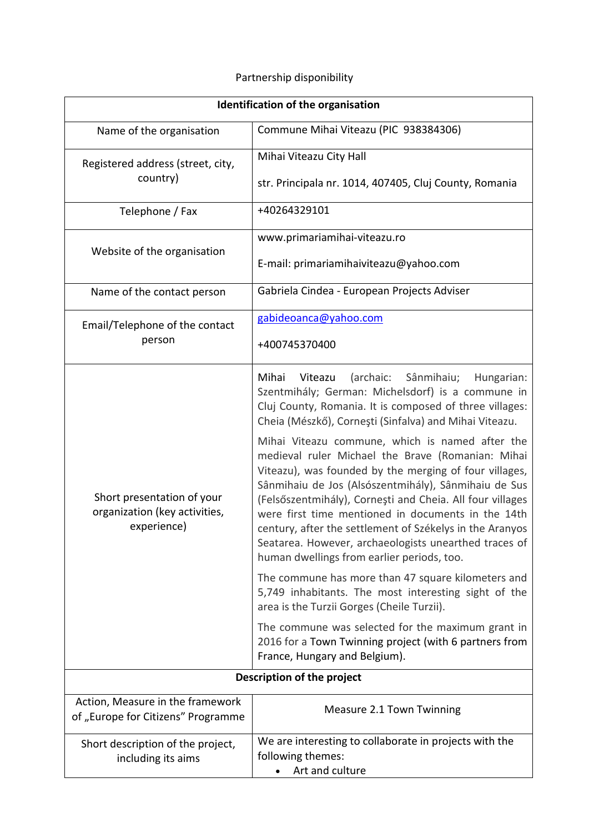## Partnership disponibility

| Identification of the organisation                                         |                                                                                                                                                                                                                                                                                                                                                                                                                                                                                                                                                                                                                                                                                                                                                                                                                                                                   |
|----------------------------------------------------------------------------|-------------------------------------------------------------------------------------------------------------------------------------------------------------------------------------------------------------------------------------------------------------------------------------------------------------------------------------------------------------------------------------------------------------------------------------------------------------------------------------------------------------------------------------------------------------------------------------------------------------------------------------------------------------------------------------------------------------------------------------------------------------------------------------------------------------------------------------------------------------------|
| Name of the organisation                                                   | Commune Mihai Viteazu (PIC 938384306)                                                                                                                                                                                                                                                                                                                                                                                                                                                                                                                                                                                                                                                                                                                                                                                                                             |
| Registered address (street, city,<br>country)                              | Mihai Viteazu City Hall                                                                                                                                                                                                                                                                                                                                                                                                                                                                                                                                                                                                                                                                                                                                                                                                                                           |
|                                                                            | str. Principala nr. 1014, 407405, Cluj County, Romania                                                                                                                                                                                                                                                                                                                                                                                                                                                                                                                                                                                                                                                                                                                                                                                                            |
| Telephone / Fax                                                            | +40264329101                                                                                                                                                                                                                                                                                                                                                                                                                                                                                                                                                                                                                                                                                                                                                                                                                                                      |
| Website of the organisation                                                | www.primariamihai-viteazu.ro                                                                                                                                                                                                                                                                                                                                                                                                                                                                                                                                                                                                                                                                                                                                                                                                                                      |
|                                                                            | E-mail: primariamihaiviteazu@yahoo.com                                                                                                                                                                                                                                                                                                                                                                                                                                                                                                                                                                                                                                                                                                                                                                                                                            |
| Name of the contact person                                                 | Gabriela Cindea - European Projects Adviser                                                                                                                                                                                                                                                                                                                                                                                                                                                                                                                                                                                                                                                                                                                                                                                                                       |
| Email/Telephone of the contact<br>person                                   | gabideoanca@yahoo.com                                                                                                                                                                                                                                                                                                                                                                                                                                                                                                                                                                                                                                                                                                                                                                                                                                             |
|                                                                            | +400745370400                                                                                                                                                                                                                                                                                                                                                                                                                                                                                                                                                                                                                                                                                                                                                                                                                                                     |
| Short presentation of your<br>organization (key activities,<br>experience) | (archaic:<br>Sânmihaiu;<br>Mihai<br>Viteazu<br>Hungarian:<br>Szentmihály; German: Michelsdorf) is a commune in<br>Cluj County, Romania. It is composed of three villages:<br>Cheia (Mészkő), Cornești (Sinfalva) and Mihai Viteazu.<br>Mihai Viteazu commune, which is named after the<br>medieval ruler Michael the Brave (Romanian: Mihai<br>Viteazu), was founded by the merging of four villages,<br>Sânmihaiu de Jos (Alsószentmihály), Sânmihaiu de Sus<br>(Felsőszentmihály), Cornești and Cheia. All four villages<br>were first time mentioned in documents in the 14th<br>century, after the settlement of Székelys in the Aranyos<br>Seatarea. However, archaeologists unearthed traces of<br>human dwellings from earlier periods, too.<br>The commune has more than 47 square kilometers and<br>5,749 inhabitants. The most interesting sight of the |
|                                                                            | area is the Turzii Gorges (Cheile Turzii).                                                                                                                                                                                                                                                                                                                                                                                                                                                                                                                                                                                                                                                                                                                                                                                                                        |
|                                                                            | The commune was selected for the maximum grant in<br>2016 for a Town Twinning project (with 6 partners from<br>France, Hungary and Belgium).                                                                                                                                                                                                                                                                                                                                                                                                                                                                                                                                                                                                                                                                                                                      |
| Description of the project                                                 |                                                                                                                                                                                                                                                                                                                                                                                                                                                                                                                                                                                                                                                                                                                                                                                                                                                                   |
| Action, Measure in the framework<br>of "Europe for Citizens" Programme     | Measure 2.1 Town Twinning                                                                                                                                                                                                                                                                                                                                                                                                                                                                                                                                                                                                                                                                                                                                                                                                                                         |
| Short description of the project,<br>including its aims                    | We are interesting to collaborate in projects with the<br>following themes:<br>Art and culture                                                                                                                                                                                                                                                                                                                                                                                                                                                                                                                                                                                                                                                                                                                                                                    |